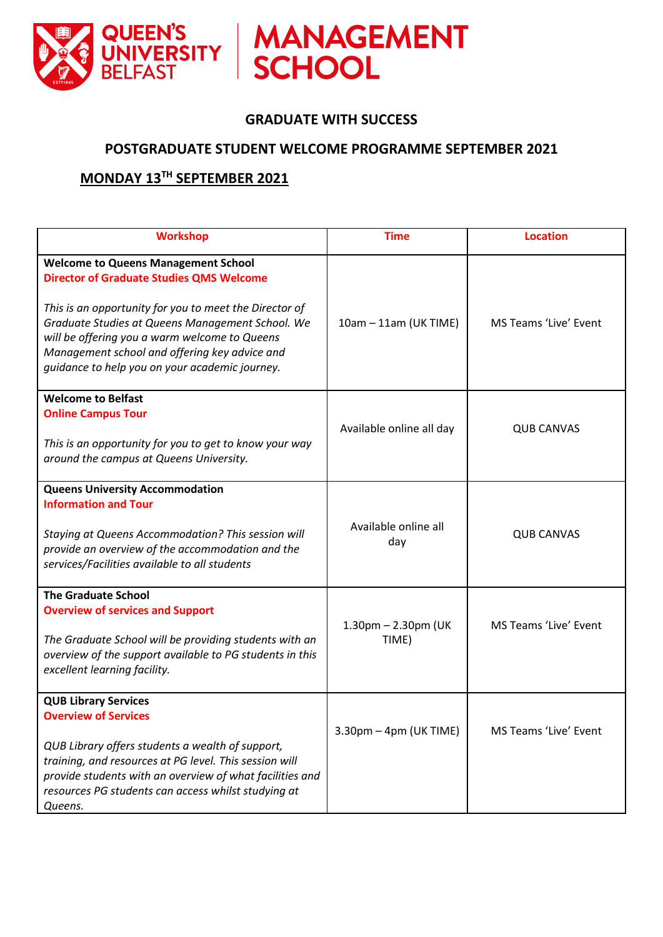

### **GRADUATE WITH SUCCESS**

#### **POSTGRADUATE STUDENT WELCOME PROGRAMME SEPTEMBER 2021**

### **MONDAY 13 TH SEPTEMBER 2021**

| <b>Workshop</b>                                                                                                                                                                                                                                                                                                                                                 | <b>Time</b>                        | <b>Location</b>       |
|-----------------------------------------------------------------------------------------------------------------------------------------------------------------------------------------------------------------------------------------------------------------------------------------------------------------------------------------------------------------|------------------------------------|-----------------------|
| <b>Welcome to Queens Management School</b><br><b>Director of Graduate Studies QMS Welcome</b><br>This is an opportunity for you to meet the Director of<br>Graduate Studies at Queens Management School. We<br>will be offering you a warm welcome to Queens<br>Management school and offering key advice and<br>guidance to help you on your academic journey. | 10am - 11am (UK TIME)              | MS Teams 'Live' Event |
| <b>Welcome to Belfast</b><br><b>Online Campus Tour</b><br>This is an opportunity for you to get to know your way<br>around the campus at Queens University.                                                                                                                                                                                                     | Available online all day           | <b>QUB CANVAS</b>     |
| <b>Queens University Accommodation</b><br><b>Information and Tour</b><br><b>Staying at Queens Accommodation? This session will</b><br>provide an overview of the accommodation and the<br>services/Facilities available to all students                                                                                                                         | Available online all<br>day        | <b>QUB CANVAS</b>     |
| <b>The Graduate School</b><br><b>Overview of services and Support</b><br>The Graduate School will be providing students with an<br>overview of the support available to PG students in this<br>excellent learning facility.                                                                                                                                     | $1.30$ pm $- 2.30$ pm (UK<br>TIME) | MS Teams 'Live' Event |
| <b>QUB Library Services</b><br><b>Overview of Services</b><br>QUB Library offers students a wealth of support,<br>training, and resources at PG level. This session will<br>provide students with an overview of what facilities and<br>resources PG students can access whilst studying at<br>Queens.                                                          | $3.30$ pm – 4pm (UK TIME)          | MS Teams 'Live' Event |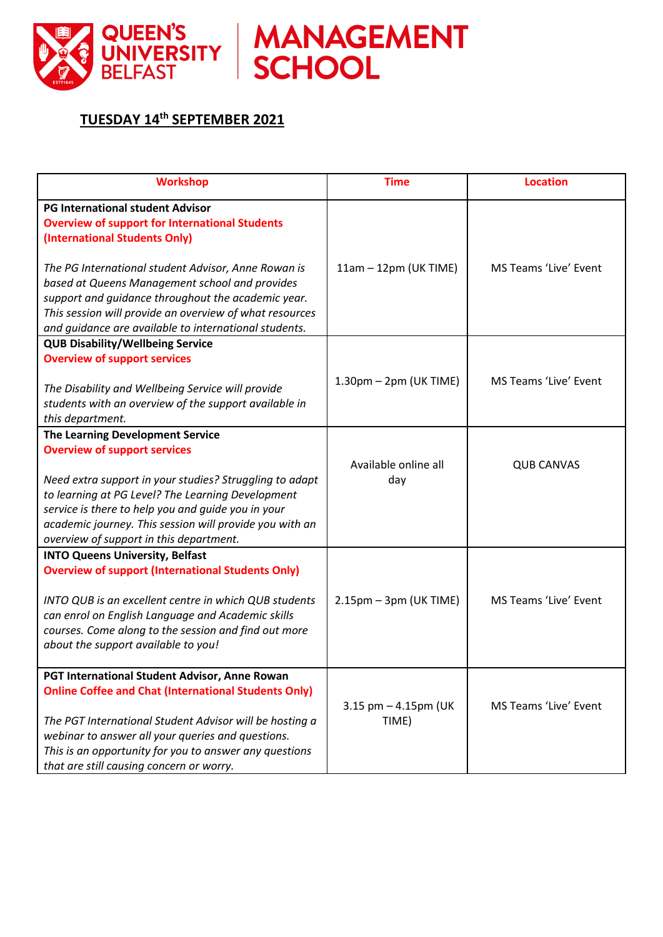

MANAGEMENT

# **TUESDAY 14th SEPTEMBER 2021**

| <b>Workshop</b>                                                                                                                                                                                                                                                                                                 | <b>Time</b>                              | <b>Location</b>              |
|-----------------------------------------------------------------------------------------------------------------------------------------------------------------------------------------------------------------------------------------------------------------------------------------------------------------|------------------------------------------|------------------------------|
| <b>PG International student Advisor</b><br><b>Overview of support for International Students</b><br>(International Students Only)                                                                                                                                                                               |                                          |                              |
| The PG International student Advisor, Anne Rowan is<br>based at Queens Management school and provides<br>support and guidance throughout the academic year.<br>This session will provide an overview of what resources<br>and guidance are available to international students.                                 | 11am - 12pm (UK TIME)                    | <b>MS Teams 'Live' Event</b> |
| <b>QUB Disability/Wellbeing Service</b>                                                                                                                                                                                                                                                                         |                                          |                              |
| <b>Overview of support services</b><br>The Disability and Wellbeing Service will provide<br>students with an overview of the support available in<br>this department.                                                                                                                                           | $1.30 \text{pm} - 2 \text{pm}$ (UK TIME) | MS Teams 'Live' Event        |
| The Learning Development Service                                                                                                                                                                                                                                                                                |                                          |                              |
| <b>Overview of support services</b><br>Need extra support in your studies? Struggling to adapt<br>to learning at PG Level? The Learning Development<br>service is there to help you and guide you in your<br>academic journey. This session will provide you with an<br>overview of support in this department. | Available online all<br>day              | <b>QUB CANVAS</b>            |
| <b>INTO Queens University, Belfast</b>                                                                                                                                                                                                                                                                          |                                          |                              |
| <b>Overview of support (International Students Only)</b><br>INTO QUB is an excellent centre in which QUB students<br>can enrol on English Language and Academic skills<br>courses. Come along to the session and find out more<br>about the support available to you!                                           | $2.15$ pm – 3pm (UK TIME)                | MS Teams 'Live' Event        |
| PGT International Student Advisor, Anne Rowan                                                                                                                                                                                                                                                                   |                                          |                              |
| <b>Online Coffee and Chat (International Students Only)</b><br>The PGT International Student Advisor will be hosting a<br>webinar to answer all your queries and questions.<br>This is an opportunity for you to answer any questions<br>that are still causing concern or worry.                               | $3.15$ pm $-$ 4.15pm (UK<br>TIME)        | MS Teams 'Live' Event        |